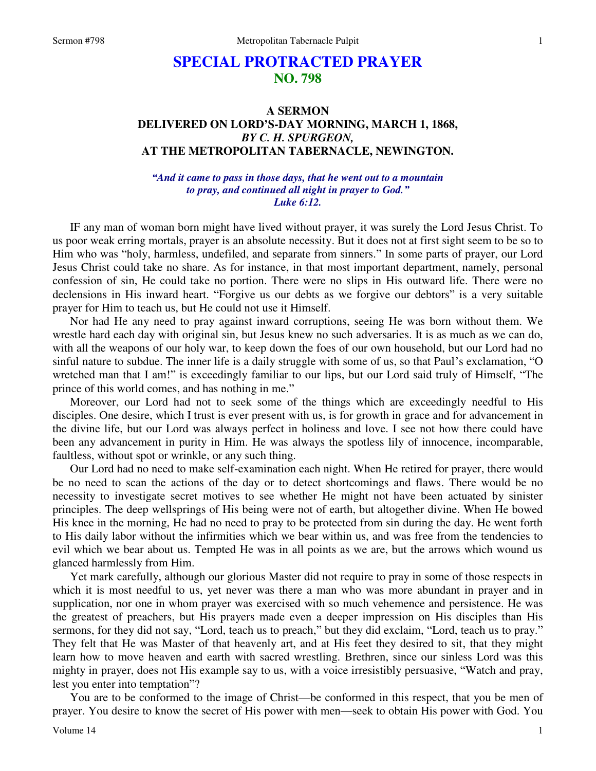# **SPECIAL PROTRACTED PRAYER NO. 798**

# **A SERMON DELIVERED ON LORD'S-DAY MORNING, MARCH 1, 1868,**  *BY C. H. SPURGEON,*  **AT THE METROPOLITAN TABERNACLE, NEWINGTON.**

*"And it came to pass in those days, that he went out to a mountain to pray, and continued all night in prayer to God." Luke 6:12.* 

IF any man of woman born might have lived without prayer, it was surely the Lord Jesus Christ. To us poor weak erring mortals, prayer is an absolute necessity. But it does not at first sight seem to be so to Him who was "holy, harmless, undefiled, and separate from sinners." In some parts of prayer, our Lord Jesus Christ could take no share. As for instance, in that most important department, namely, personal confession of sin, He could take no portion. There were no slips in His outward life. There were no declensions in His inward heart. "Forgive us our debts as we forgive our debtors" is a very suitable prayer for Him to teach us, but He could not use it Himself.

Nor had He any need to pray against inward corruptions, seeing He was born without them. We wrestle hard each day with original sin, but Jesus knew no such adversaries. It is as much as we can do, with all the weapons of our holy war, to keep down the foes of our own household, but our Lord had no sinful nature to subdue. The inner life is a daily struggle with some of us, so that Paul's exclamation, "O wretched man that I am!" is exceedingly familiar to our lips, but our Lord said truly of Himself, "The prince of this world comes, and has nothing in me."

Moreover, our Lord had not to seek some of the things which are exceedingly needful to His disciples. One desire, which I trust is ever present with us, is for growth in grace and for advancement in the divine life, but our Lord was always perfect in holiness and love. I see not how there could have been any advancement in purity in Him. He was always the spotless lily of innocence, incomparable, faultless, without spot or wrinkle, or any such thing.

Our Lord had no need to make self-examination each night. When He retired for prayer, there would be no need to scan the actions of the day or to detect shortcomings and flaws. There would be no necessity to investigate secret motives to see whether He might not have been actuated by sinister principles. The deep wellsprings of His being were not of earth, but altogether divine. When He bowed His knee in the morning, He had no need to pray to be protected from sin during the day. He went forth to His daily labor without the infirmities which we bear within us, and was free from the tendencies to evil which we bear about us. Tempted He was in all points as we are, but the arrows which wound us glanced harmlessly from Him.

Yet mark carefully, although our glorious Master did not require to pray in some of those respects in which it is most needful to us, yet never was there a man who was more abundant in prayer and in supplication, nor one in whom prayer was exercised with so much vehemence and persistence. He was the greatest of preachers, but His prayers made even a deeper impression on His disciples than His sermons, for they did not say, "Lord, teach us to preach," but they did exclaim, "Lord, teach us to pray." They felt that He was Master of that heavenly art, and at His feet they desired to sit, that they might learn how to move heaven and earth with sacred wrestling. Brethren, since our sinless Lord was this mighty in prayer, does not His example say to us, with a voice irresistibly persuasive, "Watch and pray, lest you enter into temptation"?

You are to be conformed to the image of Christ—be conformed in this respect, that you be men of prayer. You desire to know the secret of His power with men—seek to obtain His power with God. You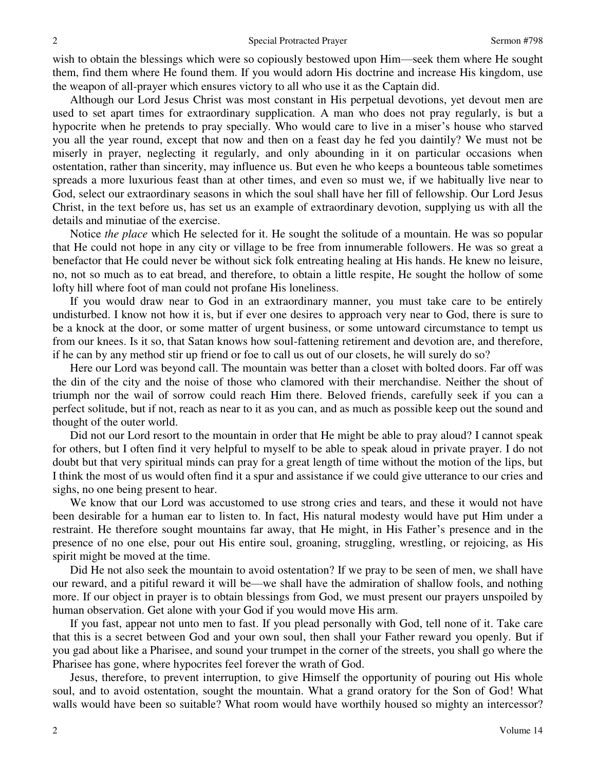wish to obtain the blessings which were so copiously bestowed upon Him—seek them where He sought them, find them where He found them. If you would adorn His doctrine and increase His kingdom, use the weapon of all-prayer which ensures victory to all who use it as the Captain did.

Although our Lord Jesus Christ was most constant in His perpetual devotions, yet devout men are used to set apart times for extraordinary supplication. A man who does not pray regularly, is but a hypocrite when he pretends to pray specially. Who would care to live in a miser's house who starved you all the year round, except that now and then on a feast day he fed you daintily? We must not be miserly in prayer, neglecting it regularly, and only abounding in it on particular occasions when ostentation, rather than sincerity, may influence us. But even he who keeps a bounteous table sometimes spreads a more luxurious feast than at other times, and even so must we, if we habitually live near to God, select our extraordinary seasons in which the soul shall have her fill of fellowship. Our Lord Jesus Christ, in the text before us, has set us an example of extraordinary devotion, supplying us with all the details and minutiae of the exercise.

Notice *the place* which He selected for it. He sought the solitude of a mountain. He was so popular that He could not hope in any city or village to be free from innumerable followers. He was so great a benefactor that He could never be without sick folk entreating healing at His hands. He knew no leisure, no, not so much as to eat bread, and therefore, to obtain a little respite, He sought the hollow of some lofty hill where foot of man could not profane His loneliness.

If you would draw near to God in an extraordinary manner, you must take care to be entirely undisturbed. I know not how it is, but if ever one desires to approach very near to God, there is sure to be a knock at the door, or some matter of urgent business, or some untoward circumstance to tempt us from our knees. Is it so, that Satan knows how soul-fattening retirement and devotion are, and therefore, if he can by any method stir up friend or foe to call us out of our closets, he will surely do so?

Here our Lord was beyond call. The mountain was better than a closet with bolted doors. Far off was the din of the city and the noise of those who clamored with their merchandise. Neither the shout of triumph nor the wail of sorrow could reach Him there. Beloved friends, carefully seek if you can a perfect solitude, but if not, reach as near to it as you can, and as much as possible keep out the sound and thought of the outer world.

Did not our Lord resort to the mountain in order that He might be able to pray aloud? I cannot speak for others, but I often find it very helpful to myself to be able to speak aloud in private prayer. I do not doubt but that very spiritual minds can pray for a great length of time without the motion of the lips, but I think the most of us would often find it a spur and assistance if we could give utterance to our cries and sighs, no one being present to hear.

We know that our Lord was accustomed to use strong cries and tears, and these it would not have been desirable for a human ear to listen to. In fact, His natural modesty would have put Him under a restraint. He therefore sought mountains far away, that He might, in His Father's presence and in the presence of no one else, pour out His entire soul, groaning, struggling, wrestling, or rejoicing, as His spirit might be moved at the time.

Did He not also seek the mountain to avoid ostentation? If we pray to be seen of men, we shall have our reward, and a pitiful reward it will be—we shall have the admiration of shallow fools, and nothing more. If our object in prayer is to obtain blessings from God, we must present our prayers unspoiled by human observation. Get alone with your God if you would move His arm.

If you fast, appear not unto men to fast. If you plead personally with God, tell none of it. Take care that this is a secret between God and your own soul, then shall your Father reward you openly. But if you gad about like a Pharisee, and sound your trumpet in the corner of the streets, you shall go where the Pharisee has gone, where hypocrites feel forever the wrath of God.

Jesus, therefore, to prevent interruption, to give Himself the opportunity of pouring out His whole soul, and to avoid ostentation, sought the mountain. What a grand oratory for the Son of God! What walls would have been so suitable? What room would have worthily housed so mighty an intercessor?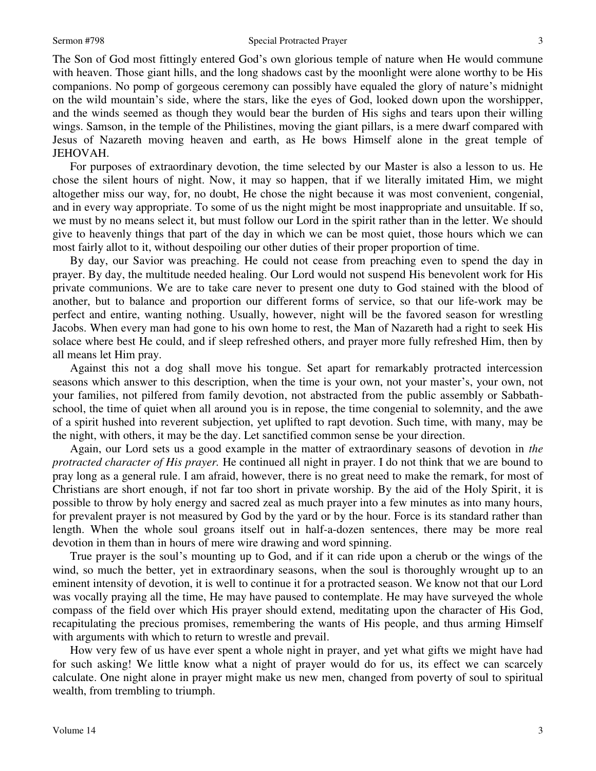### Sermon #798 Special Protracted Prayer

The Son of God most fittingly entered God's own glorious temple of nature when He would commune with heaven. Those giant hills, and the long shadows cast by the moonlight were alone worthy to be His companions. No pomp of gorgeous ceremony can possibly have equaled the glory of nature's midnight on the wild mountain's side, where the stars, like the eyes of God, looked down upon the worshipper, and the winds seemed as though they would bear the burden of His sighs and tears upon their willing wings. Samson, in the temple of the Philistines, moving the giant pillars, is a mere dwarf compared with Jesus of Nazareth moving heaven and earth, as He bows Himself alone in the great temple of JEHOVAH.

For purposes of extraordinary devotion, the time selected by our Master is also a lesson to us. He chose the silent hours of night. Now, it may so happen, that if we literally imitated Him, we might altogether miss our way, for, no doubt, He chose the night because it was most convenient, congenial, and in every way appropriate. To some of us the night might be most inappropriate and unsuitable. If so, we must by no means select it, but must follow our Lord in the spirit rather than in the letter. We should give to heavenly things that part of the day in which we can be most quiet, those hours which we can most fairly allot to it, without despoiling our other duties of their proper proportion of time.

By day, our Savior was preaching. He could not cease from preaching even to spend the day in prayer. By day, the multitude needed healing. Our Lord would not suspend His benevolent work for His private communions. We are to take care never to present one duty to God stained with the blood of another, but to balance and proportion our different forms of service, so that our life-work may be perfect and entire, wanting nothing. Usually, however, night will be the favored season for wrestling Jacobs. When every man had gone to his own home to rest, the Man of Nazareth had a right to seek His solace where best He could, and if sleep refreshed others, and prayer more fully refreshed Him, then by all means let Him pray.

Against this not a dog shall move his tongue. Set apart for remarkably protracted intercession seasons which answer to this description, when the time is your own, not your master's, your own, not your families, not pilfered from family devotion, not abstracted from the public assembly or Sabbathschool, the time of quiet when all around you is in repose, the time congenial to solemnity, and the awe of a spirit hushed into reverent subjection, yet uplifted to rapt devotion. Such time, with many, may be the night, with others, it may be the day. Let sanctified common sense be your direction.

Again, our Lord sets us a good example in the matter of extraordinary seasons of devotion in *the protracted character of His prayer.* He continued all night in prayer. I do not think that we are bound to pray long as a general rule. I am afraid, however, there is no great need to make the remark, for most of Christians are short enough, if not far too short in private worship. By the aid of the Holy Spirit, it is possible to throw by holy energy and sacred zeal as much prayer into a few minutes as into many hours, for prevalent prayer is not measured by God by the yard or by the hour. Force is its standard rather than length. When the whole soul groans itself out in half-a-dozen sentences, there may be more real devotion in them than in hours of mere wire drawing and word spinning.

True prayer is the soul's mounting up to God, and if it can ride upon a cherub or the wings of the wind, so much the better, yet in extraordinary seasons, when the soul is thoroughly wrought up to an eminent intensity of devotion, it is well to continue it for a protracted season. We know not that our Lord was vocally praying all the time, He may have paused to contemplate. He may have surveyed the whole compass of the field over which His prayer should extend, meditating upon the character of His God, recapitulating the precious promises, remembering the wants of His people, and thus arming Himself with arguments with which to return to wrestle and prevail.

How very few of us have ever spent a whole night in prayer, and yet what gifts we might have had for such asking! We little know what a night of prayer would do for us, its effect we can scarcely calculate. One night alone in prayer might make us new men, changed from poverty of soul to spiritual wealth, from trembling to triumph.

3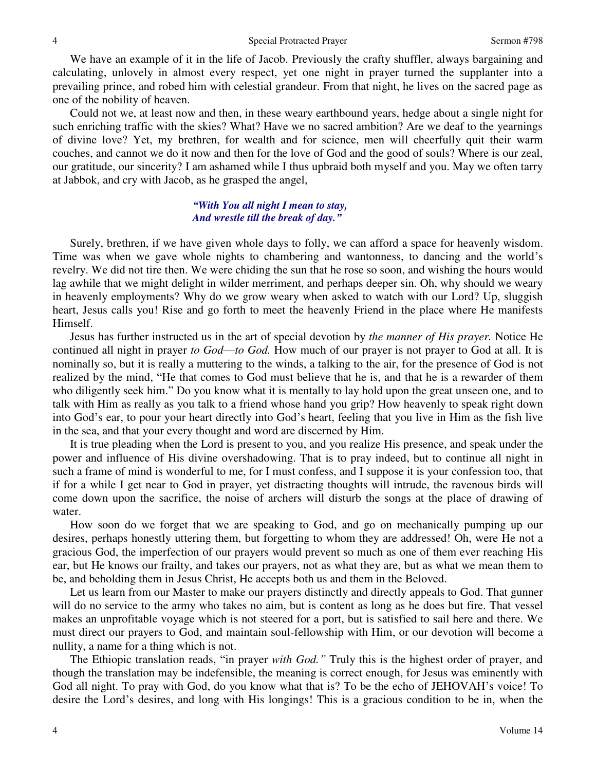We have an example of it in the life of Jacob. Previously the crafty shuffler, always bargaining and calculating, unlovely in almost every respect, yet one night in prayer turned the supplanter into a prevailing prince, and robed him with celestial grandeur. From that night, he lives on the sacred page as one of the nobility of heaven.

Could not we, at least now and then, in these weary earthbound years, hedge about a single night for such enriching traffic with the skies? What? Have we no sacred ambition? Are we deaf to the yearnings of divine love? Yet, my brethren, for wealth and for science, men will cheerfully quit their warm couches, and cannot we do it now and then for the love of God and the good of souls? Where is our zeal, our gratitude, our sincerity? I am ashamed while I thus upbraid both myself and you. May we often tarry at Jabbok, and cry with Jacob, as he grasped the angel,

## *"With You all night I mean to stay, And wrestle till the break of day."*

Surely, brethren, if we have given whole days to folly, we can afford a space for heavenly wisdom. Time was when we gave whole nights to chambering and wantonness, to dancing and the world's revelry. We did not tire then. We were chiding the sun that he rose so soon, and wishing the hours would lag awhile that we might delight in wilder merriment, and perhaps deeper sin. Oh, why should we weary in heavenly employments? Why do we grow weary when asked to watch with our Lord? Up, sluggish heart, Jesus calls you! Rise and go forth to meet the heavenly Friend in the place where He manifests Himself.

Jesus has further instructed us in the art of special devotion by *the manner of His prayer.* Notice He continued all night in prayer *to God*—*to God.* How much of our prayer is not prayer to God at all. It is nominally so, but it is really a muttering to the winds, a talking to the air, for the presence of God is not realized by the mind, "He that comes to God must believe that he is, and that he is a rewarder of them who diligently seek him." Do you know what it is mentally to lay hold upon the great unseen one, and to talk with Him as really as you talk to a friend whose hand you grip? How heavenly to speak right down into God's ear, to pour your heart directly into God's heart, feeling that you live in Him as the fish live in the sea, and that your every thought and word are discerned by Him.

It is true pleading when the Lord is present to you, and you realize His presence, and speak under the power and influence of His divine overshadowing. That is to pray indeed, but to continue all night in such a frame of mind is wonderful to me, for I must confess, and I suppose it is your confession too, that if for a while I get near to God in prayer, yet distracting thoughts will intrude, the ravenous birds will come down upon the sacrifice, the noise of archers will disturb the songs at the place of drawing of water.

How soon do we forget that we are speaking to God, and go on mechanically pumping up our desires, perhaps honestly uttering them, but forgetting to whom they are addressed! Oh, were He not a gracious God, the imperfection of our prayers would prevent so much as one of them ever reaching His ear, but He knows our frailty, and takes our prayers, not as what they are, but as what we mean them to be, and beholding them in Jesus Christ, He accepts both us and them in the Beloved.

Let us learn from our Master to make our prayers distinctly and directly appeals to God. That gunner will do no service to the army who takes no aim, but is content as long as he does but fire. That vessel makes an unprofitable voyage which is not steered for a port, but is satisfied to sail here and there. We must direct our prayers to God, and maintain soul-fellowship with Him, or our devotion will become a nullity, a name for a thing which is not.

The Ethiopic translation reads, "in prayer *with God."* Truly this is the highest order of prayer, and though the translation may be indefensible, the meaning is correct enough, for Jesus was eminently with God all night. To pray with God, do you know what that is? To be the echo of JEHOVAH's voice! To desire the Lord's desires, and long with His longings! This is a gracious condition to be in, when the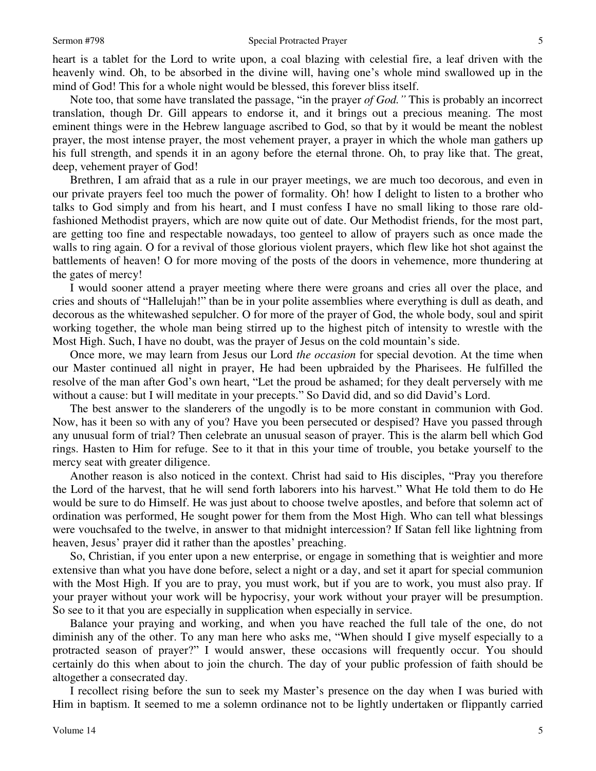### Sermon #798 Special Protracted Prayer

heart is a tablet for the Lord to write upon, a coal blazing with celestial fire, a leaf driven with the heavenly wind. Oh, to be absorbed in the divine will, having one's whole mind swallowed up in the mind of God! This for a whole night would be blessed, this forever bliss itself.

Note too, that some have translated the passage, "in the prayer *of God."* This is probably an incorrect translation, though Dr. Gill appears to endorse it, and it brings out a precious meaning. The most eminent things were in the Hebrew language ascribed to God, so that by it would be meant the noblest prayer, the most intense prayer, the most vehement prayer, a prayer in which the whole man gathers up his full strength, and spends it in an agony before the eternal throne. Oh, to pray like that. The great, deep, vehement prayer of God!

Brethren, I am afraid that as a rule in our prayer meetings, we are much too decorous, and even in our private prayers feel too much the power of formality. Oh! how I delight to listen to a brother who talks to God simply and from his heart, and I must confess I have no small liking to those rare oldfashioned Methodist prayers, which are now quite out of date. Our Methodist friends, for the most part, are getting too fine and respectable nowadays, too genteel to allow of prayers such as once made the walls to ring again. O for a revival of those glorious violent prayers, which flew like hot shot against the battlements of heaven! O for more moving of the posts of the doors in vehemence, more thundering at the gates of mercy!

I would sooner attend a prayer meeting where there were groans and cries all over the place, and cries and shouts of "Hallelujah!" than be in your polite assemblies where everything is dull as death, and decorous as the whitewashed sepulcher. O for more of the prayer of God, the whole body, soul and spirit working together, the whole man being stirred up to the highest pitch of intensity to wrestle with the Most High. Such, I have no doubt, was the prayer of Jesus on the cold mountain's side.

Once more, we may learn from Jesus our Lord *the occasion* for special devotion. At the time when our Master continued all night in prayer, He had been upbraided by the Pharisees. He fulfilled the resolve of the man after God's own heart, "Let the proud be ashamed; for they dealt perversely with me without a cause: but I will meditate in your precepts." So David did, and so did David's Lord.

The best answer to the slanderers of the ungodly is to be more constant in communion with God. Now, has it been so with any of you? Have you been persecuted or despised? Have you passed through any unusual form of trial? Then celebrate an unusual season of prayer. This is the alarm bell which God rings. Hasten to Him for refuge. See to it that in this your time of trouble, you betake yourself to the mercy seat with greater diligence.

Another reason is also noticed in the context. Christ had said to His disciples, "Pray you therefore the Lord of the harvest, that he will send forth laborers into his harvest." What He told them to do He would be sure to do Himself. He was just about to choose twelve apostles, and before that solemn act of ordination was performed, He sought power for them from the Most High. Who can tell what blessings were vouchsafed to the twelve, in answer to that midnight intercession? If Satan fell like lightning from heaven, Jesus' prayer did it rather than the apostles' preaching.

So, Christian, if you enter upon a new enterprise, or engage in something that is weightier and more extensive than what you have done before, select a night or a day, and set it apart for special communion with the Most High. If you are to pray, you must work, but if you are to work, you must also pray. If your prayer without your work will be hypocrisy, your work without your prayer will be presumption. So see to it that you are especially in supplication when especially in service.

Balance your praying and working, and when you have reached the full tale of the one, do not diminish any of the other. To any man here who asks me, "When should I give myself especially to a protracted season of prayer?" I would answer, these occasions will frequently occur. You should certainly do this when about to join the church. The day of your public profession of faith should be altogether a consecrated day.

I recollect rising before the sun to seek my Master's presence on the day when I was buried with Him in baptism. It seemed to me a solemn ordinance not to be lightly undertaken or flippantly carried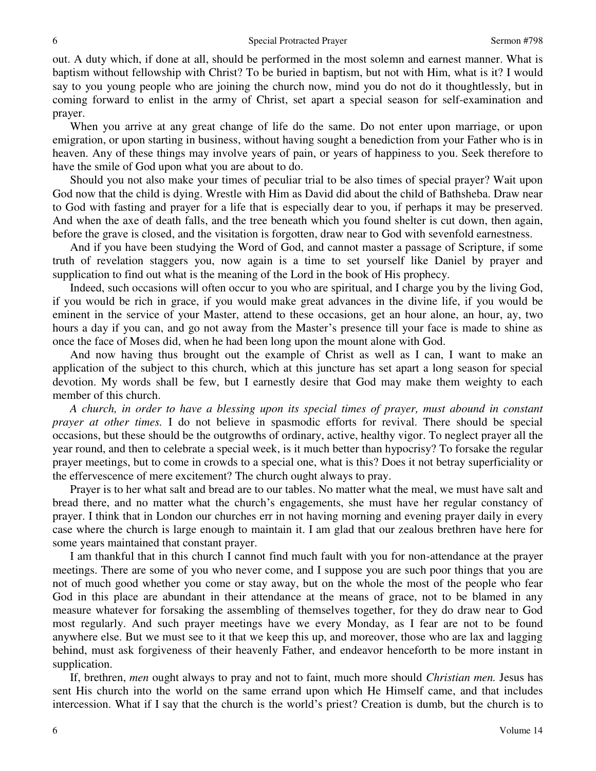out. A duty which, if done at all, should be performed in the most solemn and earnest manner. What is baptism without fellowship with Christ? To be buried in baptism, but not with Him, what is it? I would say to you young people who are joining the church now, mind you do not do it thoughtlessly, but in coming forward to enlist in the army of Christ, set apart a special season for self-examination and prayer.

When you arrive at any great change of life do the same. Do not enter upon marriage, or upon emigration, or upon starting in business, without having sought a benediction from your Father who is in heaven. Any of these things may involve years of pain, or years of happiness to you. Seek therefore to have the smile of God upon what you are about to do.

Should you not also make your times of peculiar trial to be also times of special prayer? Wait upon God now that the child is dying. Wrestle with Him as David did about the child of Bathsheba. Draw near to God with fasting and prayer for a life that is especially dear to you, if perhaps it may be preserved. And when the axe of death falls, and the tree beneath which you found shelter is cut down, then again, before the grave is closed, and the visitation is forgotten, draw near to God with sevenfold earnestness.

And if you have been studying the Word of God, and cannot master a passage of Scripture, if some truth of revelation staggers you, now again is a time to set yourself like Daniel by prayer and supplication to find out what is the meaning of the Lord in the book of His prophecy.

Indeed, such occasions will often occur to you who are spiritual, and I charge you by the living God, if you would be rich in grace, if you would make great advances in the divine life, if you would be eminent in the service of your Master, attend to these occasions, get an hour alone, an hour, ay, two hours a day if you can, and go not away from the Master's presence till your face is made to shine as once the face of Moses did, when he had been long upon the mount alone with God.

And now having thus brought out the example of Christ as well as I can, I want to make an application of the subject to this church, which at this juncture has set apart a long season for special devotion. My words shall be few, but I earnestly desire that God may make them weighty to each member of this church.

*A church, in order to have a blessing upon its special times of prayer, must abound in constant prayer at other times.* I do not believe in spasmodic efforts for revival. There should be special occasions, but these should be the outgrowths of ordinary, active, healthy vigor. To neglect prayer all the year round, and then to celebrate a special week, is it much better than hypocrisy? To forsake the regular prayer meetings, but to come in crowds to a special one, what is this? Does it not betray superficiality or the effervescence of mere excitement? The church ought always to pray.

Prayer is to her what salt and bread are to our tables. No matter what the meal, we must have salt and bread there, and no matter what the church's engagements, she must have her regular constancy of prayer. I think that in London our churches err in not having morning and evening prayer daily in every case where the church is large enough to maintain it. I am glad that our zealous brethren have here for some years maintained that constant prayer.

I am thankful that in this church I cannot find much fault with you for non-attendance at the prayer meetings. There are some of you who never come, and I suppose you are such poor things that you are not of much good whether you come or stay away, but on the whole the most of the people who fear God in this place are abundant in their attendance at the means of grace, not to be blamed in any measure whatever for forsaking the assembling of themselves together, for they do draw near to God most regularly. And such prayer meetings have we every Monday, as I fear are not to be found anywhere else. But we must see to it that we keep this up, and moreover, those who are lax and lagging behind, must ask forgiveness of their heavenly Father, and endeavor henceforth to be more instant in supplication.

If, brethren, *men* ought always to pray and not to faint, much more should *Christian men.* Jesus has sent His church into the world on the same errand upon which He Himself came, and that includes intercession. What if I say that the church is the world's priest? Creation is dumb, but the church is to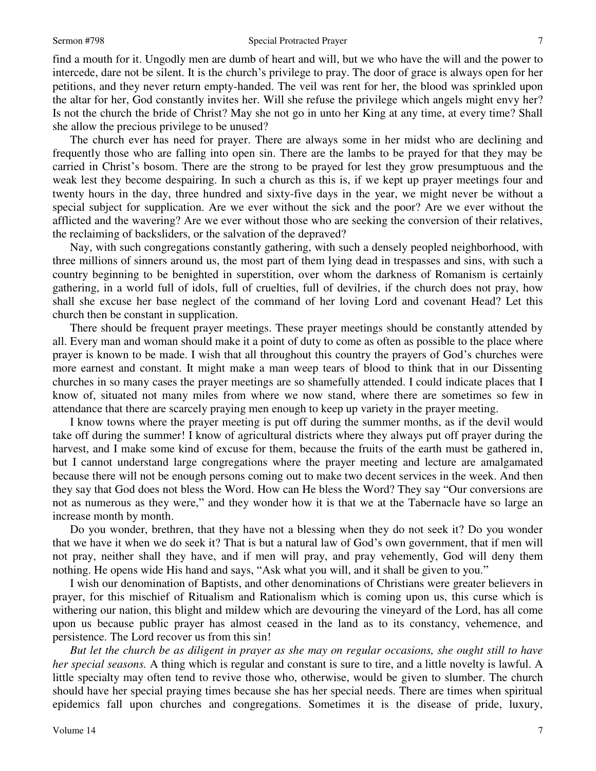### Sermon #798 Special Protracted Prayer

find a mouth for it. Ungodly men are dumb of heart and will, but we who have the will and the power to intercede, dare not be silent. It is the church's privilege to pray. The door of grace is always open for her petitions, and they never return empty-handed. The veil was rent for her, the blood was sprinkled upon the altar for her, God constantly invites her. Will she refuse the privilege which angels might envy her? Is not the church the bride of Christ? May she not go in unto her King at any time, at every time? Shall she allow the precious privilege to be unused?

The church ever has need for prayer. There are always some in her midst who are declining and frequently those who are falling into open sin. There are the lambs to be prayed for that they may be carried in Christ's bosom. There are the strong to be prayed for lest they grow presumptuous and the weak lest they become despairing. In such a church as this is, if we kept up prayer meetings four and twenty hours in the day, three hundred and sixty-five days in the year, we might never be without a special subject for supplication. Are we ever without the sick and the poor? Are we ever without the afflicted and the wavering? Are we ever without those who are seeking the conversion of their relatives, the reclaiming of backsliders, or the salvation of the depraved?

Nay, with such congregations constantly gathering, with such a densely peopled neighborhood, with three millions of sinners around us, the most part of them lying dead in trespasses and sins, with such a country beginning to be benighted in superstition, over whom the darkness of Romanism is certainly gathering, in a world full of idols, full of cruelties, full of devilries, if the church does not pray, how shall she excuse her base neglect of the command of her loving Lord and covenant Head? Let this church then be constant in supplication.

There should be frequent prayer meetings. These prayer meetings should be constantly attended by all. Every man and woman should make it a point of duty to come as often as possible to the place where prayer is known to be made. I wish that all throughout this country the prayers of God's churches were more earnest and constant. It might make a man weep tears of blood to think that in our Dissenting churches in so many cases the prayer meetings are so shamefully attended. I could indicate places that I know of, situated not many miles from where we now stand, where there are sometimes so few in attendance that there are scarcely praying men enough to keep up variety in the prayer meeting.

I know towns where the prayer meeting is put off during the summer months, as if the devil would take off during the summer! I know of agricultural districts where they always put off prayer during the harvest, and I make some kind of excuse for them, because the fruits of the earth must be gathered in, but I cannot understand large congregations where the prayer meeting and lecture are amalgamated because there will not be enough persons coming out to make two decent services in the week. And then they say that God does not bless the Word. How can He bless the Word? They say "Our conversions are not as numerous as they were," and they wonder how it is that we at the Tabernacle have so large an increase month by month.

Do you wonder, brethren, that they have not a blessing when they do not seek it? Do you wonder that we have it when we do seek it? That is but a natural law of God's own government, that if men will not pray, neither shall they have, and if men will pray, and pray vehemently, God will deny them nothing. He opens wide His hand and says, "Ask what you will, and it shall be given to you."

I wish our denomination of Baptists, and other denominations of Christians were greater believers in prayer, for this mischief of Ritualism and Rationalism which is coming upon us, this curse which is withering our nation, this blight and mildew which are devouring the vineyard of the Lord, has all come upon us because public prayer has almost ceased in the land as to its constancy, vehemence, and persistence. The Lord recover us from this sin!

*But let the church be as diligent in prayer as she may on regular occasions, she ought still to have her special seasons.* A thing which is regular and constant is sure to tire, and a little novelty is lawful. A little specialty may often tend to revive those who, otherwise, would be given to slumber. The church should have her special praying times because she has her special needs. There are times when spiritual epidemics fall upon churches and congregations. Sometimes it is the disease of pride, luxury,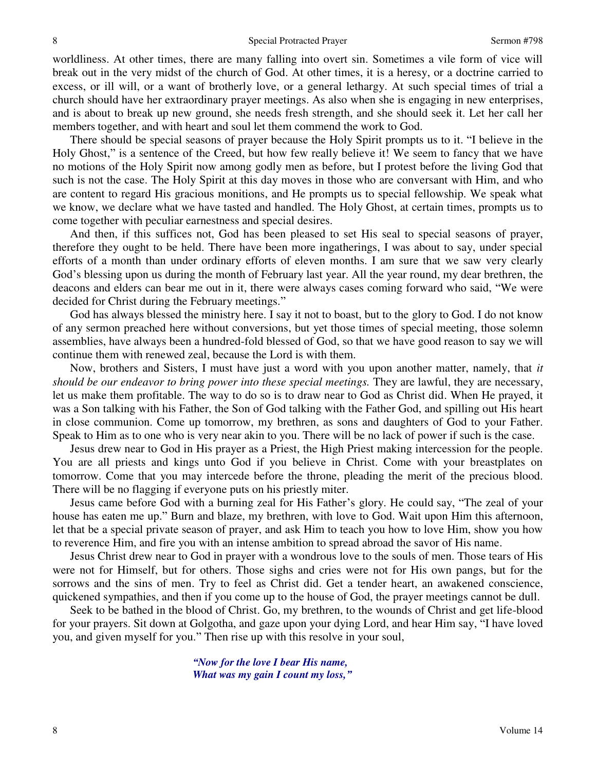worldliness. At other times, there are many falling into overt sin. Sometimes a vile form of vice will break out in the very midst of the church of God. At other times, it is a heresy, or a doctrine carried to excess, or ill will, or a want of brotherly love, or a general lethargy. At such special times of trial a church should have her extraordinary prayer meetings. As also when she is engaging in new enterprises, and is about to break up new ground, she needs fresh strength, and she should seek it. Let her call her members together, and with heart and soul let them commend the work to God.

There should be special seasons of prayer because the Holy Spirit prompts us to it. "I believe in the Holy Ghost," is a sentence of the Creed, but how few really believe it! We seem to fancy that we have no motions of the Holy Spirit now among godly men as before, but I protest before the living God that such is not the case. The Holy Spirit at this day moves in those who are conversant with Him, and who are content to regard His gracious monitions, and He prompts us to special fellowship. We speak what we know, we declare what we have tasted and handled. The Holy Ghost, at certain times, prompts us to come together with peculiar earnestness and special desires.

And then, if this suffices not, God has been pleased to set His seal to special seasons of prayer, therefore they ought to be held. There have been more ingatherings, I was about to say, under special efforts of a month than under ordinary efforts of eleven months. I am sure that we saw very clearly God's blessing upon us during the month of February last year. All the year round, my dear brethren, the deacons and elders can bear me out in it, there were always cases coming forward who said, "We were decided for Christ during the February meetings."

God has always blessed the ministry here. I say it not to boast, but to the glory to God. I do not know of any sermon preached here without conversions, but yet those times of special meeting, those solemn assemblies, have always been a hundred-fold blessed of God, so that we have good reason to say we will continue them with renewed zeal, because the Lord is with them.

Now, brothers and Sisters, I must have just a word with you upon another matter, namely, that *it should be our endeavor to bring power into these special meetings.* They are lawful, they are necessary, let us make them profitable. The way to do so is to draw near to God as Christ did. When He prayed, it was a Son talking with his Father, the Son of God talking with the Father God, and spilling out His heart in close communion. Come up tomorrow, my brethren, as sons and daughters of God to your Father. Speak to Him as to one who is very near akin to you. There will be no lack of power if such is the case.

Jesus drew near to God in His prayer as a Priest, the High Priest making intercession for the people. You are all priests and kings unto God if you believe in Christ. Come with your breastplates on tomorrow. Come that you may intercede before the throne, pleading the merit of the precious blood. There will be no flagging if everyone puts on his priestly miter.

Jesus came before God with a burning zeal for His Father's glory. He could say, "The zeal of your house has eaten me up." Burn and blaze, my brethren, with love to God. Wait upon Him this afternoon, let that be a special private season of prayer, and ask Him to teach you how to love Him, show you how to reverence Him, and fire you with an intense ambition to spread abroad the savor of His name.

Jesus Christ drew near to God in prayer with a wondrous love to the souls of men. Those tears of His were not for Himself, but for others. Those sighs and cries were not for His own pangs, but for the sorrows and the sins of men. Try to feel as Christ did. Get a tender heart, an awakened conscience, quickened sympathies, and then if you come up to the house of God, the prayer meetings cannot be dull.

Seek to be bathed in the blood of Christ. Go, my brethren, to the wounds of Christ and get life-blood for your prayers. Sit down at Golgotha, and gaze upon your dying Lord, and hear Him say, "I have loved you, and given myself for you." Then rise up with this resolve in your soul,

> *"Now for the love I bear His name, What was my gain I count my loss,"*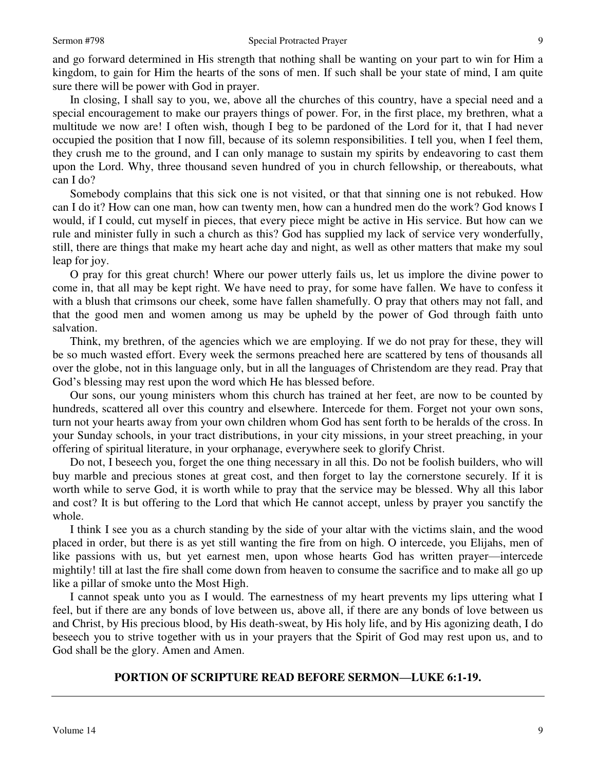and go forward determined in His strength that nothing shall be wanting on your part to win for Him a kingdom, to gain for Him the hearts of the sons of men. If such shall be your state of mind, I am quite sure there will be power with God in prayer.

In closing, I shall say to you, we, above all the churches of this country, have a special need and a special encouragement to make our prayers things of power. For, in the first place, my brethren, what a multitude we now are! I often wish, though I beg to be pardoned of the Lord for it, that I had never occupied the position that I now fill, because of its solemn responsibilities. I tell you, when I feel them, they crush me to the ground, and I can only manage to sustain my spirits by endeavoring to cast them upon the Lord. Why, three thousand seven hundred of you in church fellowship, or thereabouts, what can I do?

Somebody complains that this sick one is not visited, or that that sinning one is not rebuked. How can I do it? How can one man, how can twenty men, how can a hundred men do the work? God knows I would, if I could, cut myself in pieces, that every piece might be active in His service. But how can we rule and minister fully in such a church as this? God has supplied my lack of service very wonderfully, still, there are things that make my heart ache day and night, as well as other matters that make my soul leap for joy.

O pray for this great church! Where our power utterly fails us, let us implore the divine power to come in, that all may be kept right. We have need to pray, for some have fallen. We have to confess it with a blush that crimsons our cheek, some have fallen shamefully. O pray that others may not fall, and that the good men and women among us may be upheld by the power of God through faith unto salvation.

Think, my brethren, of the agencies which we are employing. If we do not pray for these, they will be so much wasted effort. Every week the sermons preached here are scattered by tens of thousands all over the globe, not in this language only, but in all the languages of Christendom are they read. Pray that God's blessing may rest upon the word which He has blessed before.

Our sons, our young ministers whom this church has trained at her feet, are now to be counted by hundreds, scattered all over this country and elsewhere. Intercede for them. Forget not your own sons, turn not your hearts away from your own children whom God has sent forth to be heralds of the cross. In your Sunday schools, in your tract distributions, in your city missions, in your street preaching, in your offering of spiritual literature, in your orphanage, everywhere seek to glorify Christ.

Do not, I beseech you, forget the one thing necessary in all this. Do not be foolish builders, who will buy marble and precious stones at great cost, and then forget to lay the cornerstone securely. If it is worth while to serve God, it is worth while to pray that the service may be blessed. Why all this labor and cost? It is but offering to the Lord that which He cannot accept, unless by prayer you sanctify the whole.

I think I see you as a church standing by the side of your altar with the victims slain, and the wood placed in order, but there is as yet still wanting the fire from on high. O intercede, you Elijahs, men of like passions with us, but yet earnest men, upon whose hearts God has written prayer—intercede mightily! till at last the fire shall come down from heaven to consume the sacrifice and to make all go up like a pillar of smoke unto the Most High.

I cannot speak unto you as I would. The earnestness of my heart prevents my lips uttering what I feel, but if there are any bonds of love between us, above all, if there are any bonds of love between us and Christ, by His precious blood, by His death-sweat, by His holy life, and by His agonizing death, I do beseech you to strive together with us in your prayers that the Spirit of God may rest upon us, and to God shall be the glory. Amen and Amen.

# **PORTION OF SCRIPTURE READ BEFORE SERMON—LUKE 6:1-19.**